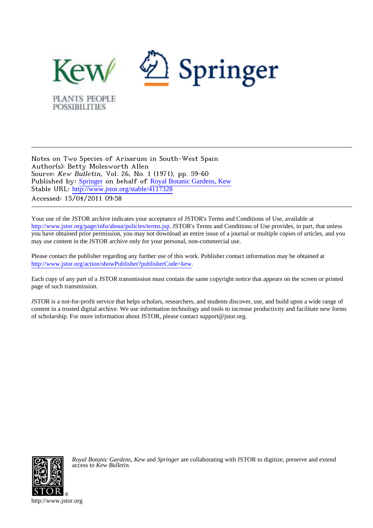

Notes on Two Species of Arisarum in South-West Spain Author(s): Betty Molesworth Allen Source: Kew Bulletin, Vol. 26, No. 1 (1971), pp. 59-60 Published by: [Springer](http://www.jstor.org/action/showPublisher?publisherCode=springer) on behalf of [Royal Botanic Gardens, Kew](http://www.jstor.org/action/showPublisher?publisherCode=kew) Stable URL: [http://www.jstor.org/stable/4117328](http://www.jstor.org/stable/4117328?origin=JSTOR-pdf) Accessed: 15/04/2011 09:58

Your use of the JSTOR archive indicates your acceptance of JSTOR's Terms and Conditions of Use, available at <http://www.jstor.org/page/info/about/policies/terms.jsp>. JSTOR's Terms and Conditions of Use provides, in part, that unless you have obtained prior permission, you may not download an entire issue of a journal or multiple copies of articles, and you may use content in the JSTOR archive only for your personal, non-commercial use.

Please contact the publisher regarding any further use of this work. Publisher contact information may be obtained at [http://www.jstor.org/action/showPublisher?publisherCode=kew.](http://www.jstor.org/action/showPublisher?publisherCode=kew) .

Each copy of any part of a JSTOR transmission must contain the same copyright notice that appears on the screen or printed page of such transmission.

JSTOR is a not-for-profit service that helps scholars, researchers, and students discover, use, and build upon a wide range of content in a trusted digital archive. We use information technology and tools to increase productivity and facilitate new forms of scholarship. For more information about JSTOR, please contact support@jstor.org.



*Royal Botanic Gardens, Kew* and *Springer* are collaborating with JSTOR to digitize, preserve and extend access to *Kew Bulletin.*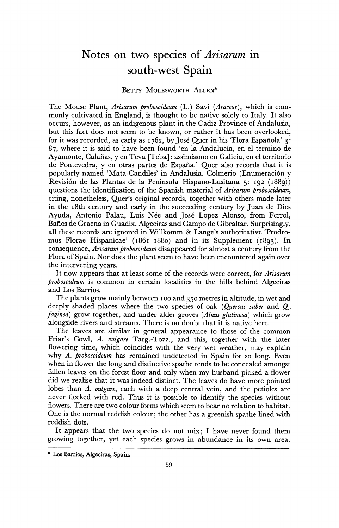## **Notes on two species of Arisarum in south-west Spain**

## **BETTY MOLESWORTH ALLEN\***

**The Mouse Plant, Arisarum proboscideum (L.) Savi (Araceae), which is commonly cultivated in England, is thought to be native solely to Italy. It also occurs, however, as an indigenous plant in the Cadiz Province of Andalusia, but this fact does not seem to be known, or rather it has been overlooked, for it was recorded, as early as 1762, by Jose Quer in his 'Flora Espahiola' 3: 87, where it is said to have been found 'en la Andalucia, en el termino de Ayamonte, Calafias, y en Teva [Teba]: assimissmo en Galicia, en el territorio de Pontevedra, y en otras partes de Espafia.' Quer also records that it is**  popularly named 'Mata-Candiles' in Andalusia. Colmerio (Enumeración y **Revisi6n de las Plantas de la Peninsula Hispano-Lusitana 5: 192 (1889)) questions the identification of the Spanish material of Arisarum proboscideum, citing, nonetheless, Quer's original records, together with others made later in the I8th century and early in the succeeding century by Juan de Dios**  Ayuda, Antonio Palau, Luis Née and José Lopez Alonso, from Ferrol, **Bafios de Graena in Guadix, Algeciras and Campo de Gibraltar. Surprisingly, all these records are ignored in Willkomm & Lange's authoritative 'Prodromus Florae Hispanicae' (i861-188o) and in its Supplement (1893). In consequence, Arisarum proboscideum disappeared for almost a century from the Flora of Spain. Nor does the plant seem to have been encountered again over the intervening years.** 

**It now appears that at least some of the records were correct, for Arisarum proboscideum is common in certain localities in the hills behind Algeciras and Los Barrios.** 

**The plants grow mainly between Ioo and 350 metres in altitude, in wet and deeply shaded places where the two species of oak (Quercus suber and Q. faginea) grow together, and under alder groves (Alnus glutinosa) which grow alongside rivers and streams. There is no doubt that it is native here.** 

**The leaves are similar in general appearance to those of the common Friar's Cowl, A. vulgare Targ.-Tozz., and this, together with the later flowering time, which coincides with the very wet weather, may explain why A. proboscideum has remained undetected in Spain for so long. Even when in flower the long and distinctive spathe tends to be concealed amongst fallen leaves on the forest floor and only when my husband picked a flower did we realise that it was indeed distinct. The leaves do have more pointed lobes than A. vulgare, each with a deep central vein, and the petioles are never flecked with red. Thus it is possible to identify the species without flowers. There are two colour forms which seem to bear no relation to habitat. One is the normal reddish colour; the other has a greenish spathe lined with reddish dots.** 

**It appears that the two species do not mix; I have never found them growing together, yet each species grows in abundance in its own area.** 

**<sup>\*</sup> Los Barrios, Algeciras, Spain.**